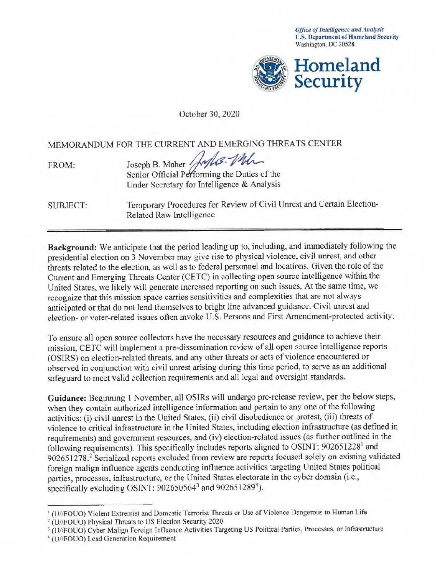*Office of Intelligence and Analysis*  **U.S. Department of Homeland Security** Washington, DC 20528



October 30, 2020

MEMORANDUM FOR THE CURRENT AND EMERGING THREATS CENTER

| <b>FROM:</b> | Joseph B. Maher Jules Mh.                   |
|--------------|---------------------------------------------|
|              |                                             |
|              | Under Secretary for Intelligence & Analysis |
|              |                                             |

SUBJECT: Temporary Procedures for Review of Civil Unrest and Certain Election-Related Raw Intelligence

**Background:** We anticipate that the period leading up to, including, and immediately following the presidential election on 3 November may give rise to physical violence, civil unrest, and other threats related to the election, as well as to federal personnel and locations. Given the role of the Current and Emerging Threats Center (CETC) in collecting open source intelligence within the United States, we likely will generate increased reporting on such issues. At the same time, we recognize that this mission space carries sensitivities and complexities that are not always anticipated or that do not lend themselves to bright line advanced guidance. Civil unrest and election- or voter-related issues often invoke U.S. Persons and First Amendment-protected activity.

To ensure all open source collectors have the necessary resources and guidance to achieve their mission, CETC will implement a pre-dissemination review of all open source intelligence reports (OSIRS) on election-related threats, and any other threats or acts of violence encountered or observed in conjunction with civil unrest arising during this time period, to serve as an additional safeguard to meet valid collection requirements and all legal and oversight standards.

Guidance: Beginning 1 November, all OSIRs will undergo pre-release review, per the below steps, when they contain authorized intelligence information and pertain to any one of the following activities: (i) civil unrest in the United States, (ii) civil disobedience or protest, (iii) threats of violence to critical infrastructure in the United States, including election infrastructure (as defined in requirements) and government resources, and (iv) election-related issues (as further outlined in the following requirements). This specifically includes reports aligned to OSINT: 902651228<sup>1</sup> and 902651278.2 Serialized reports excluded from review are reports focused solely on existing validated foreign malign influence agents conducting influence activities targeting United States political parties, processes, infrastructure, or the United States electorate in the cyber domain (i.e., specifically excluding OSINT:  $902650564^3$  and  $902651289^4$ ).

<sup>&</sup>lt;sup>1</sup> (U//FOUO) Violent Extremist and Domestic Terrorist Threats or Use of Violence Dangerous to Human Life

<sup>2</sup>(U//FOUO) Physical Threats to US Election Security 2020

<sup>&</sup>lt;sup>3</sup> (U//FOUO) Cyber Malign Foreign Influence Activities Targeting US Political Parties, Processes, or Infrastructure

<sup>4</sup> (U//FOUO) Lead Generation Requirement